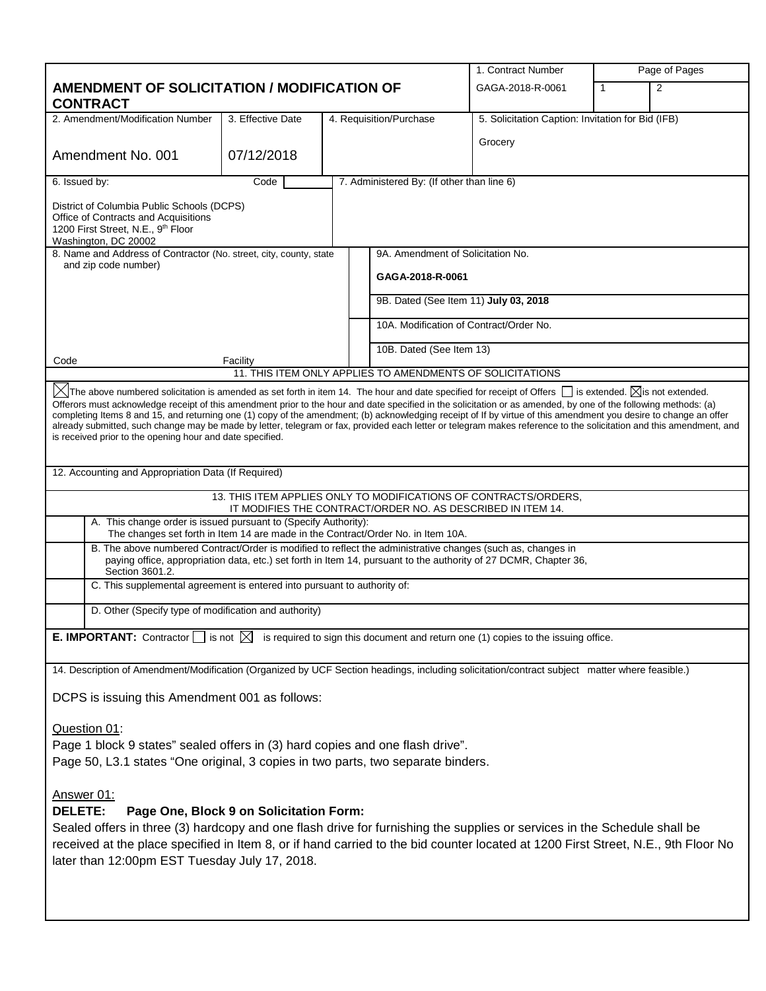|                                                                                                                                                                                                                                                                                                                                                                                                                                                                                                                                                                                                                                                                                                                                                                 | 1. Contract Number                                | Page of Pages     |  |  |
|-----------------------------------------------------------------------------------------------------------------------------------------------------------------------------------------------------------------------------------------------------------------------------------------------------------------------------------------------------------------------------------------------------------------------------------------------------------------------------------------------------------------------------------------------------------------------------------------------------------------------------------------------------------------------------------------------------------------------------------------------------------------|---------------------------------------------------|-------------------|--|--|
| <b>AMENDMENT OF SOLICITATION / MODIFICATION OF</b><br><b>CONTRACT</b>                                                                                                                                                                                                                                                                                                                                                                                                                                                                                                                                                                                                                                                                                           | GAGA-2018-R-0061                                  | 2<br>$\mathbf{1}$ |  |  |
| 2. Amendment/Modification Number<br>3. Effective Date<br>4. Requisition/Purchase                                                                                                                                                                                                                                                                                                                                                                                                                                                                                                                                                                                                                                                                                | 5. Solicitation Caption: Invitation for Bid (IFB) |                   |  |  |
| Amendment No. 001<br>07/12/2018                                                                                                                                                                                                                                                                                                                                                                                                                                                                                                                                                                                                                                                                                                                                 | Grocery                                           |                   |  |  |
| 6. Issued by:<br>7. Administered By: (If other than line 6)<br>Code                                                                                                                                                                                                                                                                                                                                                                                                                                                                                                                                                                                                                                                                                             |                                                   |                   |  |  |
| District of Columbia Public Schools (DCPS)<br>Office of Contracts and Acquisitions<br>1200 First Street, N.E., 9th Floor<br>Washington, DC 20002                                                                                                                                                                                                                                                                                                                                                                                                                                                                                                                                                                                                                |                                                   |                   |  |  |
| 8. Name and Address of Contractor (No. street, city, county, state<br>and zip code number)                                                                                                                                                                                                                                                                                                                                                                                                                                                                                                                                                                                                                                                                      | 9A. Amendment of Solicitation No.                 |                   |  |  |
| GAGA-2018-R-0061                                                                                                                                                                                                                                                                                                                                                                                                                                                                                                                                                                                                                                                                                                                                                |                                                   |                   |  |  |
|                                                                                                                                                                                                                                                                                                                                                                                                                                                                                                                                                                                                                                                                                                                                                                 | 9B. Dated (See Item 11) July 03, 2018             |                   |  |  |
|                                                                                                                                                                                                                                                                                                                                                                                                                                                                                                                                                                                                                                                                                                                                                                 | 10A. Modification of Contract/Order No.           |                   |  |  |
| Code<br>Facility                                                                                                                                                                                                                                                                                                                                                                                                                                                                                                                                                                                                                                                                                                                                                | 10B. Dated (See Item 13)                          |                   |  |  |
| 11. THIS ITEM ONLY APPLIES TO AMENDMENTS OF SOLICITATIONS                                                                                                                                                                                                                                                                                                                                                                                                                                                                                                                                                                                                                                                                                                       |                                                   |                   |  |  |
| $\boxtimes$ The above numbered solicitation is amended as set forth in item 14. The hour and date specified for receipt of Offers $\Box$ is extended. $\boxtimes$ is not extended.<br>Offerors must acknowledge receipt of this amendment prior to the hour and date specified in the solicitation or as amended, by one of the following methods: (a)<br>completing Items 8 and 15, and returning one (1) copy of the amendment; (b) acknowledging receipt of If by virtue of this amendment you desire to change an offer<br>already submitted, such change may be made by letter, telegram or fax, provided each letter or telegram makes reference to the solicitation and this amendment, and<br>is received prior to the opening hour and date specified. |                                                   |                   |  |  |
| 12. Accounting and Appropriation Data (If Required)                                                                                                                                                                                                                                                                                                                                                                                                                                                                                                                                                                                                                                                                                                             |                                                   |                   |  |  |
| 13. THIS ITEM APPLIES ONLY TO MODIFICATIONS OF CONTRACTS/ORDERS.<br>IT MODIFIES THE CONTRACT/ORDER NO. AS DESCRIBED IN ITEM 14.                                                                                                                                                                                                                                                                                                                                                                                                                                                                                                                                                                                                                                 |                                                   |                   |  |  |
| A. This change order is issued pursuant to (Specify Authority):<br>The changes set forth in Item 14 are made in the Contract/Order No. in Item 10A.                                                                                                                                                                                                                                                                                                                                                                                                                                                                                                                                                                                                             |                                                   |                   |  |  |
| B. The above numbered Contract/Order is modified to reflect the administrative changes (such as, changes in<br>paying office, appropriation data, etc.) set forth in Item 14, pursuant to the authority of 27 DCMR, Chapter 36,<br>Section 3601.2.                                                                                                                                                                                                                                                                                                                                                                                                                                                                                                              |                                                   |                   |  |  |
| C. This supplemental agreement is entered into pursuant to authority of:                                                                                                                                                                                                                                                                                                                                                                                                                                                                                                                                                                                                                                                                                        |                                                   |                   |  |  |
| D. Other (Specify type of modification and authority)                                                                                                                                                                                                                                                                                                                                                                                                                                                                                                                                                                                                                                                                                                           |                                                   |                   |  |  |
| <b>E. IMPORTANT:</b> Contractor $\Box$ is not $\boxtimes$ is required to sign this document and return one (1) copies to the issuing office.                                                                                                                                                                                                                                                                                                                                                                                                                                                                                                                                                                                                                    |                                                   |                   |  |  |
| 14. Description of Amendment/Modification (Organized by UCF Section headings, including solicitation/contract subject matter where feasible.)                                                                                                                                                                                                                                                                                                                                                                                                                                                                                                                                                                                                                   |                                                   |                   |  |  |
| DCPS is issuing this Amendment 001 as follows:                                                                                                                                                                                                                                                                                                                                                                                                                                                                                                                                                                                                                                                                                                                  |                                                   |                   |  |  |
| Question 01:<br>Page 1 block 9 states" sealed offers in (3) hard copies and one flash drive".<br>Page 50, L3.1 states "One original, 3 copies in two parts, two separate binders.<br>Answer 01:<br><b>DELETE:</b><br>Page One, Block 9 on Solicitation Form:<br>Sealed offers in three (3) hardcopy and one flash drive for furnishing the supplies or services in the Schedule shall be<br>received at the place specified in Item 8, or if hand carried to the bid counter located at 1200 First Street, N.E., 9th Floor No<br>later than 12:00pm EST Tuesday July 17, 2018.                                                                                                                                                                                  |                                                   |                   |  |  |
|                                                                                                                                                                                                                                                                                                                                                                                                                                                                                                                                                                                                                                                                                                                                                                 |                                                   |                   |  |  |